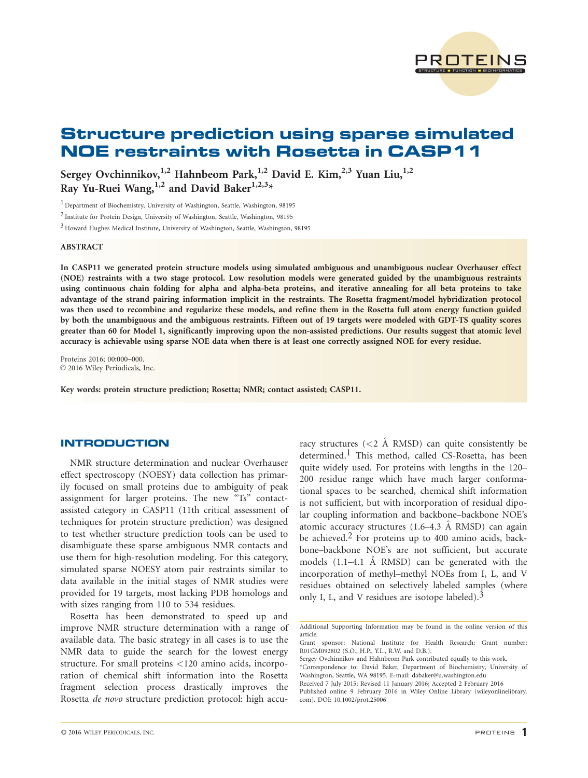

# Structure prediction using sparse simulated NOE restraints with Rosetta in CASP11

Sergey Ovchinnikov,<sup>1,2</sup> Hahnbeom Park,<sup>1,2</sup> David E. Kim,<sup>2,3</sup> Yuan Liu,<sup>1,2</sup> Ray Yu-Ruei Wang,  $1,2$  and David Baker<sup>1,2,3\*</sup>

<sup>1</sup> Department of Biochemistry, University of Washington, Seattle, Washington, 98195

 $^2$  Institute for Protein Design, University of Washington, Seattle, Washington, 98195

<sup>3</sup> Howard Hughes Medical Institute, University of Washington, Seattle, Washington, 98195

## ABSTRACT

In CASP11 we generated protein structure models using simulated ambiguous and unambiguous nuclear Overhauser effect (NOE) restraints with a two stage protocol. Low resolution models were generated guided by the unambiguous restraints using continuous chain folding for alpha and alpha-beta proteins, and iterative annealing for all beta proteins to take advantage of the strand pairing information implicit in the restraints. The Rosetta fragment/model hybridization protocol was then used to recombine and regularize these models, and refine them in the Rosetta full atom energy function guided by both the unambiguous and the ambiguous restraints. Fifteen out of 19 targets were modeled with GDT-TS quality scores greater than 60 for Model 1, significantly improving upon the non-assisted predictions. Our results suggest that atomic level accuracy is achievable using sparse NOE data when there is at least one correctly assigned NOE for every residue.

Proteins 2016; 00:000–000.  $©$  2016 Wiley Periodicals, Inc.

Key words: protein structure prediction; Rosetta; NMR; contact assisted; CASP11.

# **INTRODUCTION**

NMR structure determination and nuclear Overhauser effect spectroscopy (NOESY) data collection has primarily focused on small proteins due to ambiguity of peak assignment for larger proteins. The new "Ts" contactassisted category in CASP11 (11th critical assessment of techniques for protein structure prediction) was designed to test whether structure prediction tools can be used to disambiguate these sparse ambiguous NMR contacts and use them for high-resolution modeling. For this category, simulated sparse NOESY atom pair restraints similar to data available in the initial stages of NMR studies were provided for 19 targets, most lacking PDB homologs and with sizes ranging from 110 to 534 residues.

Rosetta has been demonstrated to speed up and improve NMR structure determination with a range of available data. The basic strategy in all cases is to use the NMR data to guide the search for the lowest energy structure. For small proteins <120 amino acids, incorporation of chemical shift information into the Rosetta fragment selection process drastically improves the Rosetta de novo structure prediction protocol: high accu-

racy structures ( $\langle 2 \text{ Å RMSD}$ ) can quite consistently be determined.<sup>1</sup> This method, called CS-Rosetta, has been quite widely used. For proteins with lengths in the 120– 200 residue range which have much larger conformational spaces to be searched, chemical shift information is not sufficient, but with incorporation of residual dipolar coupling information and backbone–backbone NOE's atomic accuracy structures  $(1.6-4.3 \text{ Å RMSD})$  can again be achieved.<sup>2</sup> For proteins up to 400 amino acids, backbone–backbone NOE's are not sufficient, but accurate models  $(1.1-4.1 \text{ Å RMSD})$  can be generated with the incorporation of methyl–methyl NOEs from I, L, and V residues obtained on selectively labeled samples (where only I, L, and V residues are isotope labeled). $3$ 

Received 7 July 2015; Revised 11 January 2016; Accepted 2 February 2016

Published online 9 February 2016 in Wiley Online Library (wileyonlinelibrary. com). DOI: 10.1002/prot.25006

Additional Supporting Information may be found in the online version of this article.

Grant sponsor: National Institute for Health Research; Grant number: R01GM092802 (S.O., H.P., Y.L., R.W. and D.B.).

Sergey Ovchinnikov and Hahnbeom Park contributed equally to this work.

<sup>\*</sup>Correspondence to: David Baker, Department of Biochemistry, University of Washington, Seattle, WA 98195. E-mail: dabaker@u.washington.edu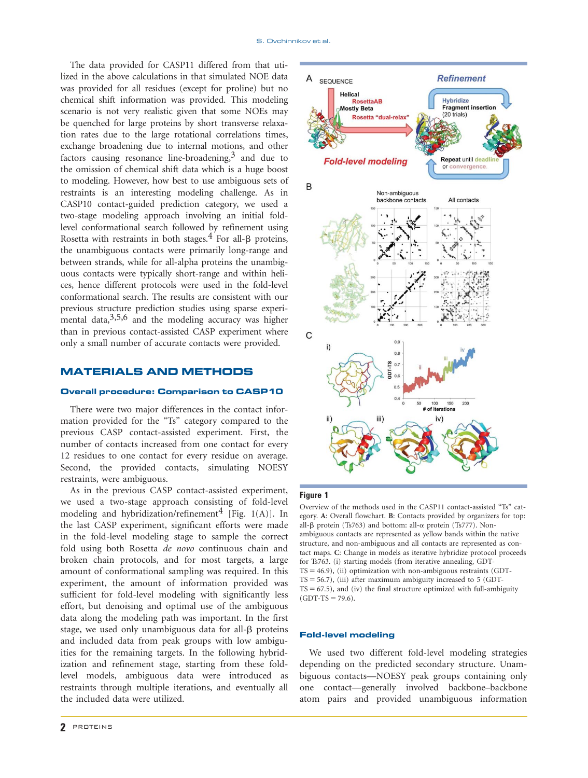The data provided for CASP11 differed from that utilized in the above calculations in that simulated NOE data was provided for all residues (except for proline) but no chemical shift information was provided. This modeling scenario is not very realistic given that some NOEs may be quenched for large proteins by short transverse relaxation rates due to the large rotational correlations times, exchange broadening due to internal motions, and other factors causing resonance line-broadening, $3$  and due to the omission of chemical shift data which is a huge boost to modeling. However, how best to use ambiguous sets of restraints is an interesting modeling challenge. As in CASP10 contact-guided prediction category, we used a two-stage modeling approach involving an initial foldlevel conformational search followed by refinement using Rosetta with restraints in both stages.<sup>4</sup> For all- $\beta$  proteins, the unambiguous contacts were primarily long-range and between strands, while for all-alpha proteins the unambiguous contacts were typically short-range and within helices, hence different protocols were used in the fold-level conformational search. The results are consistent with our previous structure prediction studies using sparse experimental data, $3,5,6$  and the modeling accuracy was higher than in previous contact-assisted CASP experiment where only a small number of accurate contacts were provided.

# MATERIALS AND METHODS

## Overall procedure: Comparison to CASP10

There were two major differences in the contact information provided for the "Ts" category compared to the previous CASP contact-assisted experiment. First, the number of contacts increased from one contact for every 12 residues to one contact for every residue on average. Second, the provided contacts, simulating NOESY restraints, were ambiguous.

As in the previous CASP contact-assisted experiment, we used a two-stage approach consisting of fold-level modeling and hybridization/refinement<sup>4</sup> [Fig. 1(A)]. In the last CASP experiment, significant efforts were made in the fold-level modeling stage to sample the correct fold using both Rosetta de novo continuous chain and broken chain protocols, and for most targets, a large amount of conformational sampling was required. In this experiment, the amount of information provided was sufficient for fold-level modeling with significantly less effort, but denoising and optimal use of the ambiguous data along the modeling path was important. In the first stage, we used only unambiguous data for all- $\beta$  proteins and included data from peak groups with low ambiguities for the remaining targets. In the following hybridization and refinement stage, starting from these foldlevel models, ambiguous data were introduced as restraints through multiple iterations, and eventually all the included data were utilized.



#### Figure 1

Overview of the methods used in the CASP11 contact-assisted "Ts" category. A: Overall flowchart. B: Contacts provided by organizers for top: all- $\beta$  protein (Ts763) and bottom: all- $\alpha$  protein (Ts777). Nonambiguous contacts are represented as yellow bands within the native structure, and non-ambiguous and all contacts are represented as contact maps. C: Change in models as iterative hybridize protocol proceeds for Ts763. (i) starting models (from iterative annealing, GDT- $TS = 46.9$ ), (ii) optimization with non-ambiguous restraints (GDT- $TS = 56.7$ ), (iii) after maximum ambiguity increased to 5 (GDT- $TS = 67.5$ ), and (iv) the final structure optimized with full-ambiguity  $(GDT-TS = 79.6).$ 

#### Fold-level modeling

We used two different fold-level modeling strategies depending on the predicted secondary structure. Unambiguous contacts—NOESY peak groups containing only one contact—generally involved backbone–backbone atom pairs and provided unambiguous information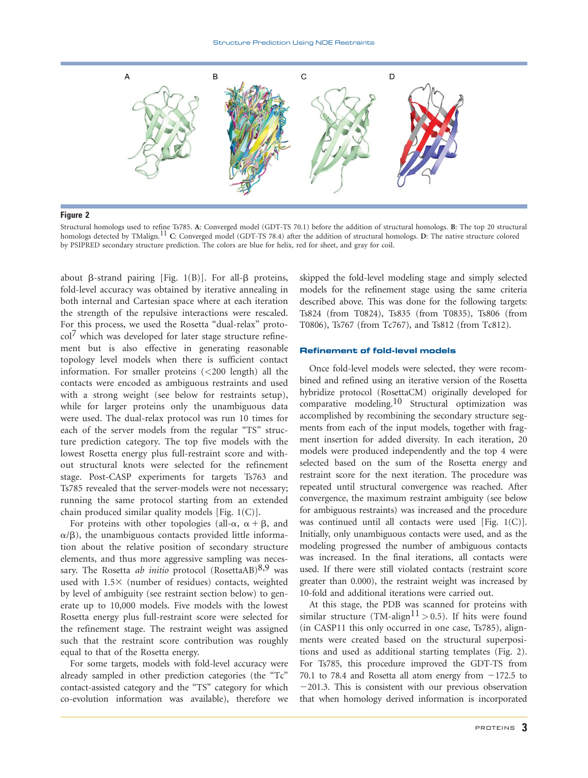

Structural homologs used to refine Ts785. A: Converged model (GDT-TS 70.1) before the addition of structural homologs. **B**: The top 20 structural<br>homologs detected by TMalign.<sup>11</sup> C: Converged model (GDT-TS 78.4) after the by PSIPRED secondary structure prediction. The colors are blue for helix, red for sheet, and gray for coil.

about  $\beta$ -strand pairing [Fig. 1(B)]. For all- $\beta$  proteins, fold-level accuracy was obtained by iterative annealing in both internal and Cartesian space where at each iteration the strength of the repulsive interactions were rescaled. For this process, we used the Rosetta "dual-relax" proto $col<sup>7</sup>$  which was developed for later stage structure refinement but is also effective in generating reasonable topology level models when there is sufficient contact information. For smaller proteins (<200 length) all the contacts were encoded as ambiguous restraints and used with a strong weight (see below for restraints setup), while for larger proteins only the unambiguous data were used. The dual-relax protocol was run 10 times for each of the server models from the regular "TS" structure prediction category. The top five models with the lowest Rosetta energy plus full-restraint score and without structural knots were selected for the refinement stage. Post-CASP experiments for targets Ts763 and Ts785 revealed that the server-models were not necessary; running the same protocol starting from an extended chain produced similar quality models [Fig. 1(C)].

For proteins with other topologies (all- $\alpha$ ,  $\alpha + \beta$ , and  $\alpha/\beta$ ), the unambiguous contacts provided little information about the relative position of secondary structure elements, and thus more aggressive sampling was necessary. The Rosetta *ab initio* protocol (RosettaAB)<sup>8,9</sup> was used with  $1.5\times$  (number of residues) contacts, weighted by level of ambiguity (see restraint section below) to generate up to 10,000 models. Five models with the lowest Rosetta energy plus full-restraint score were selected for the refinement stage. The restraint weight was assigned such that the restraint score contribution was roughly equal to that of the Rosetta energy.

For some targets, models with fold-level accuracy were already sampled in other prediction categories (the "Tc" contact-assisted category and the "TS" category for which co-evolution information was available), therefore we

skipped the fold-level modeling stage and simply selected models for the refinement stage using the same criteria described above. This was done for the following targets: Ts824 (from T0824), Ts835 (from T0835), Ts806 (from T0806), Ts767 (from Tc767), and Ts812 (from Tc812).

## Refinement of fold-level models

Once fold-level models were selected, they were recombined and refined using an iterative version of the Rosetta hybridize protocol (RosettaCM) originally developed for comparative modeling.<sup>10</sup> Structural optimization was accomplished by recombining the secondary structure segments from each of the input models, together with fragment insertion for added diversity. In each iteration, 20 models were produced independently and the top 4 were selected based on the sum of the Rosetta energy and restraint score for the next iteration. The procedure was repeated until structural convergence was reached. After convergence, the maximum restraint ambiguity (see below for ambiguous restraints) was increased and the procedure was continued until all contacts were used [Fig. 1(C)]. Initially, only unambiguous contacts were used, and as the modeling progressed the number of ambiguous contacts was increased. In the final iterations, all contacts were used. If there were still violated contacts (restraint score greater than 0.000), the restraint weight was increased by 10-fold and additional iterations were carried out.

At this stage, the PDB was scanned for proteins with similar structure (TM-align<sup>11</sup> > 0.5). If hits were found (in CASP11 this only occurred in one case, Ts785), alignments were created based on the structural superpositions and used as additional starting templates (Fig. 2). For Ts785, this procedure improved the GDT-TS from 70.1 to 78.4 and Rosetta all atom energy from  $-172.5$  to  $-201.3$ . This is consistent with our previous observation that when homology derived information is incorporated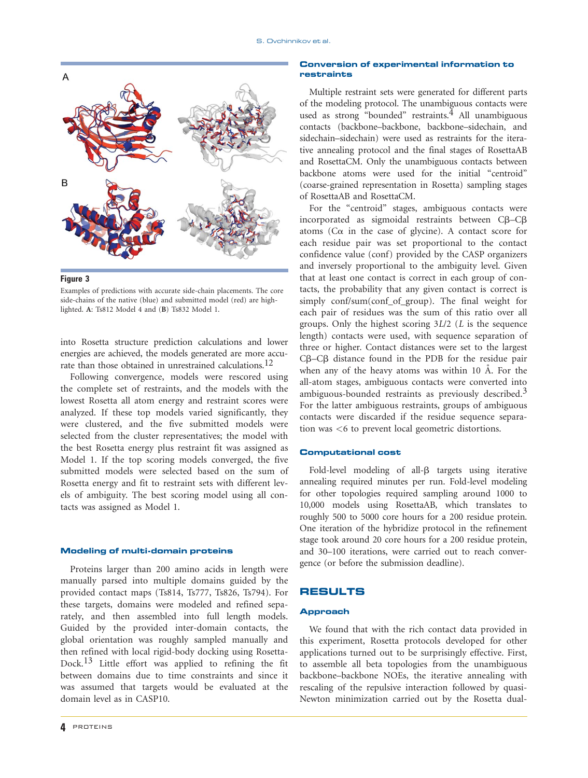



Examples of predictions with accurate side-chain placements. The core side-chains of the native (blue) and submitted model (red) are highlighted. A: Ts812 Model 4 and (B) Ts832 Model 1.

into Rosetta structure prediction calculations and lower energies are achieved, the models generated are more accurate than those obtained in unrestrained calculations.<sup>12</sup>

Following convergence, models were rescored using the complete set of restraints, and the models with the lowest Rosetta all atom energy and restraint scores were analyzed. If these top models varied significantly, they were clustered, and the five submitted models were selected from the cluster representatives; the model with the best Rosetta energy plus restraint fit was assigned as Model 1. If the top scoring models converged, the five submitted models were selected based on the sum of Rosetta energy and fit to restraint sets with different levels of ambiguity. The best scoring model using all contacts was assigned as Model 1.

#### Modeling of multi-domain proteins

Proteins larger than 200 amino acids in length were manually parsed into multiple domains guided by the provided contact maps (Ts814, Ts777, Ts826, Ts794). For these targets, domains were modeled and refined separately, and then assembled into full length models. Guided by the provided inter-domain contacts, the global orientation was roughly sampled manually and then refined with local rigid-body docking using Rosetta-Dock.13 Little effort was applied to refining the fit between domains due to time constraints and since it was assumed that targets would be evaluated at the domain level as in CASP10.

#### Conversion of experimental information to restraints

Multiple restraint sets were generated for different parts of the modeling protocol. The unambiguous contacts were used as strong "bounded" restraints. $\frac{4}{1}$  All unambiguous contacts (backbone–backbone, backbone–sidechain, and sidechain–sidechain) were used as restraints for the iterative annealing protocol and the final stages of RosettaAB and RosettaCM. Only the unambiguous contacts between backbone atoms were used for the initial "centroid" (coarse-grained representation in Rosetta) sampling stages of RosettaAB and RosettaCM.

For the "centroid" stages, ambiguous contacts were incorporated as sigmoidal restraints between  $C\beta - C\beta$ atoms ( $C\alpha$  in the case of glycine). A contact score for each residue pair was set proportional to the contact confidence value (conf) provided by the CASP organizers and inversely proportional to the ambiguity level. Given that at least one contact is correct in each group of contacts, the probability that any given contact is correct is simply conf/sum(conf\_of\_group). The final weight for each pair of residues was the sum of this ratio over all groups. Only the highest scoring  $3L/2$  (L is the sequence length) contacts were used, with sequence separation of three or higher. Contact distances were set to the largest  $C\beta$ – $C\beta$  distance found in the PDB for the residue pair when any of the heavy atoms was within 10  $\AA$ . For the all-atom stages, ambiguous contacts were converted into ambiguous-bounded restraints as previously described.<sup>3</sup> For the latter ambiguous restraints, groups of ambiguous contacts were discarded if the residue sequence separation was <6 to prevent local geometric distortions.

#### Computational cost

Fold-level modeling of all- $\beta$  targets using iterative annealing required minutes per run. Fold-level modeling for other topologies required sampling around 1000 to 10,000 models using RosettaAB, which translates to roughly 500 to 5000 core hours for a 200 residue protein. One iteration of the hybridize protocol in the refinement stage took around 20 core hours for a 200 residue protein, and 30–100 iterations, were carried out to reach convergence (or before the submission deadline).

## RESULTS

## Approach

We found that with the rich contact data provided in this experiment, Rosetta protocols developed for other applications turned out to be surprisingly effective. First, to assemble all beta topologies from the unambiguous backbone–backbone NOEs, the iterative annealing with rescaling of the repulsive interaction followed by quasi-Newton minimization carried out by the Rosetta dual-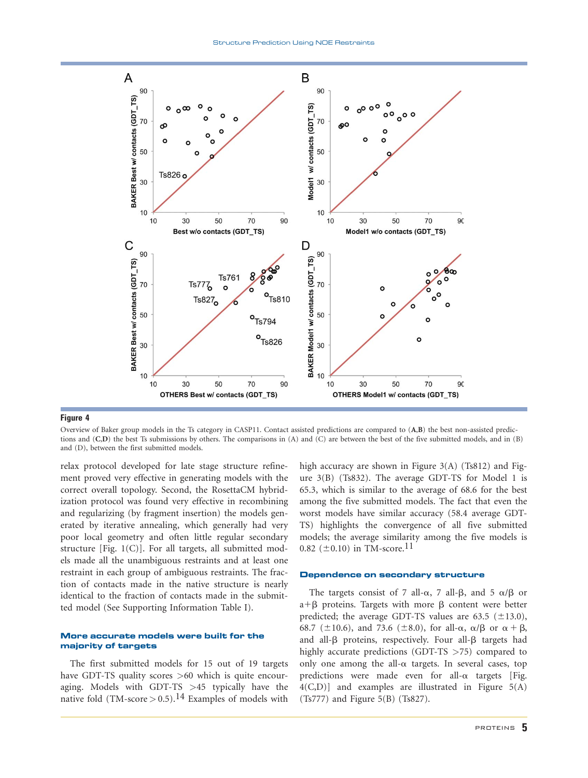

Overview of Baker group models in the Ts category in CASP11. Contact assisted predictions are compared to (A,B) the best non-assisted predictions and (C,D) the best Ts submissions by others. The comparisons in (A) and (C) are between the best of the five submitted models, and in (B) and (D), between the first submitted models.

relax protocol developed for late stage structure refinement proved very effective in generating models with the correct overall topology. Second, the RosettaCM hybridization protocol was found very effective in recombining and regularizing (by fragment insertion) the models generated by iterative annealing, which generally had very poor local geometry and often little regular secondary structure [Fig. 1(C)]. For all targets, all submitted models made all the unambiguous restraints and at least one restraint in each group of ambiguous restraints. The fraction of contacts made in the native structure is nearly identical to the fraction of contacts made in the submitted model (See Supporting Information Table I).

## More accurate models were built for the majority of targets

The first submitted models for 15 out of 19 targets have GDT-TS quality scores >60 which is quite encouraging. Models with GDT-TS >45 typically have the native fold (TM-score  $> 0.5$ ).<sup>14</sup> Examples of models with

high accuracy are shown in Figure 3(A) (Ts812) and Figure 3(B) (Ts832). The average GDT-TS for Model 1 is 65.3, which is similar to the average of 68.6 for the best among the five submitted models. The fact that even the worst models have similar accuracy (58.4 average GDT-TS) highlights the convergence of all five submitted models; the average similarity among the five models is 0.82 ( $\pm$ 0.10) in TM-score.<sup>11</sup>

#### Dependence on secondary structure

The targets consist of 7 all- $\alpha$ , 7 all- $\beta$ , and 5  $\alpha/\beta$  or  $a+\beta$  proteins. Targets with more  $\beta$  content were better predicted; the average GDT-TS values are 63.5 ( $\pm$ 13.0), 68.7 ( $\pm$ 10.6), and 73.6 ( $\pm$ 8.0), for all- $\alpha$ ,  $\alpha/\beta$  or  $\alpha + \beta$ , and all- $\beta$  proteins, respectively. Four all- $\beta$  targets had highly accurate predictions (GDT-TS >75) compared to only one among the all- $\alpha$  targets. In several cases, top predictions were made even for all- $\alpha$  targets [Fig.  $4(C,D)$ ] and examples are illustrated in Figure  $5(A)$ (Ts777) and Figure 5(B) (Ts827).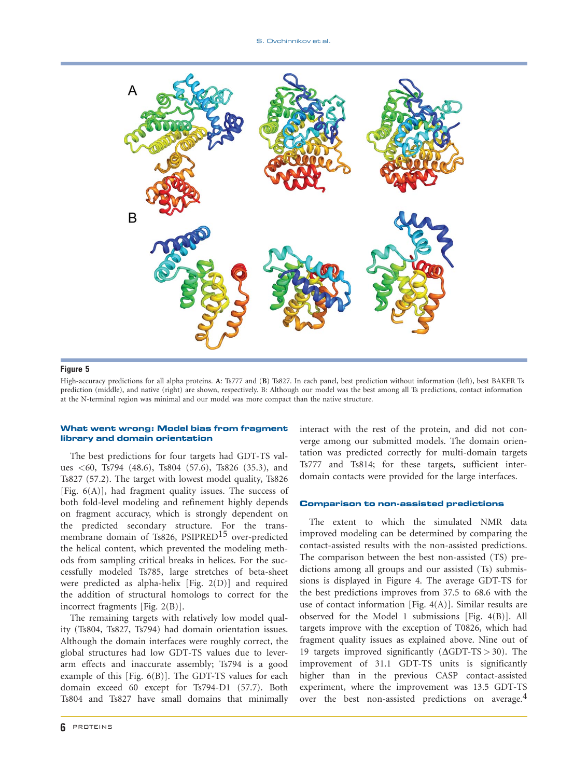

High-accuracy predictions for all alpha proteins. A: Ts777 and (B) Ts827. In each panel, best prediction without information (left), best BAKER Ts prediction (middle), and native (right) are shown, respectively. B: Although our model was the best among all Ts predictions, contact information at the N-terminal region was minimal and our model was more compact than the native structure.

## What went wrong: Model bias from fragment library and domain orientation

The best predictions for four targets had GDT-TS values <60, Ts794 (48.6), Ts804 (57.6), Ts826 (35.3), and Ts827 (57.2). The target with lowest model quality, Ts826 [Fig.  $6(A)$ ], had fragment quality issues. The success of both fold-level modeling and refinement highly depends on fragment accuracy, which is strongly dependent on the predicted secondary structure. For the transmembrane domain of Ts826, PSIPRED<sup>15</sup> over-predicted the helical content, which prevented the modeling methods from sampling critical breaks in helices. For the successfully modeled Ts785, large stretches of beta-sheet were predicted as alpha-helix [Fig. 2(D)] and required the addition of structural homologs to correct for the incorrect fragments [Fig. 2(B)].

The remaining targets with relatively low model quality (Ts804, Ts827, Ts794) had domain orientation issues. Although the domain interfaces were roughly correct, the global structures had low GDT-TS values due to leverarm effects and inaccurate assembly; Ts794 is a good example of this [Fig. 6(B)]. The GDT-TS values for each domain exceed 60 except for Ts794-D1 (57.7). Both Ts804 and Ts827 have small domains that minimally interact with the rest of the protein, and did not converge among our submitted models. The domain orientation was predicted correctly for multi-domain targets Ts777 and Ts814; for these targets, sufficient interdomain contacts were provided for the large interfaces.

## Comparison to non-assisted predictions

The extent to which the simulated NMR data improved modeling can be determined by comparing the contact-assisted results with the non-assisted predictions. The comparison between the best non-assisted (TS) predictions among all groups and our assisted (Ts) submissions is displayed in Figure 4. The average GDT-TS for the best predictions improves from 37.5 to 68.6 with the use of contact information [Fig.  $4(A)$ ]. Similar results are observed for the Model 1 submissions [Fig. 4(B)]. All targets improve with the exception of T0826, which had fragment quality issues as explained above. Nine out of 19 targets improved significantly  $(\Delta GDT-TS > 30)$ . The improvement of 31.1 GDT-TS units is significantly higher than in the previous CASP contact-assisted experiment, where the improvement was 13.5 GDT-TS over the best non-assisted predictions on average.<sup>4</sup>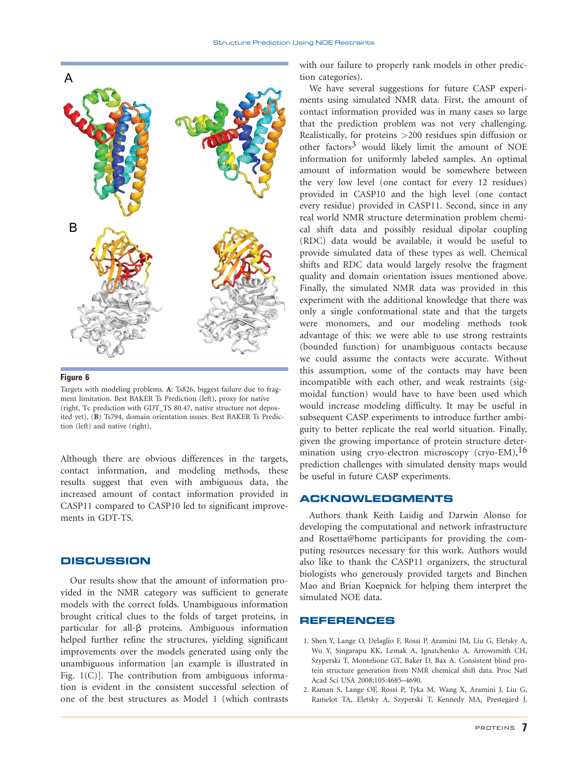

Targets with modeling problems. A: Ts826, biggest failure due to fragment limitation. Best BAKER Ts Prediction (left), proxy for native (right, Tc prediction with GDT\_TS 80.47, native structure not deposited yet), (B) Ts794, domain orientation issues. Best BAKER Ts Prediction (left) and native (right).

Although there are obvious differences in the targets, contact information, and modeling methods, these results suggest that even with ambiguous data, the increased amount of contact information provided in CASP11 compared to CASP10 led to significant improvements in GDT-TS.

## **DISCUSSION**

Our results show that the amount of information provided in the NMR category was sufficient to generate models with the correct folds. Unambiguous information brought critical clues to the folds of target proteins, in particular for all- $\beta$  proteins. Ambiguous information helped further refine the structures, yielding significant improvements over the models generated using only the unambiguous information [an example is illustrated in Fig.  $1(C)$ ]. The contribution from ambiguous information is evident in the consistent successful selection of one of the best structures as Model 1 (which contrasts

with our failure to properly rank models in other prediction categories).

We have several suggestions for future CASP experiments using simulated NMR data. First, the amount of contact information provided was in many cases so large that the prediction problem was not very challenging. Realistically, for proteins >200 residues spin diffusion or other factors<sup>3</sup> would likely limit the amount of NOE information for uniformly labeled samples. An optimal amount of information would be somewhere between the very low level (one contact for every 12 residues) provided in CASP10 and the high level (one contact every residue) provided in CASP11. Second, since in any real world NMR structure determination problem chemical shift data and possibly residual dipolar coupling (RDC) data would be available, it would be useful to provide simulated data of these types as well. Chemical shifts and RDC data would largely resolve the fragment quality and domain orientation issues mentioned above. Finally, the simulated NMR data was provided in this experiment with the additional knowledge that there was only a single conformational state and that the targets were monomers, and our modeling methods took advantage of this: we were able to use strong restraints (bounded function) for unambiguous contacts because we could assume the contacts were accurate. Without this assumption, some of the contacts may have been incompatible with each other, and weak restraints (sigmoidal function) would have to have been used which would increase modeling difficulty. It may be useful in subsequent CASP experiments to introduce further ambiguity to better replicate the real world situation. Finally, given the growing importance of protein structure determination using cryo-electron microscopy (cryo-EM),  $^{16}$ prediction challenges with simulated density maps would be useful in future CASP experiments.

# ACKNOWLEDGMENTS

Authors thank Keith Laidig and Darwin Alonso for developing the computational and network infrastructure and Rosetta@home participants for providing the computing resources necessary for this work. Authors would also like to thank the CASP11 organizers, the structural biologists who generously provided targets and Binchen Mao and Brian Koepnick for helping them interpret the simulated NOE data.

## **REFERENCES**

- 1. Shen Y, Lange O, Delaglio F, Rossi P, Aramini JM, Liu G, Eletsky A, Wu Y, Singarapu KK, Lemak A, Ignatchenko A, Arrowsmith CH, Szyperski T, Montelione GT, Baker D, Bax A. Consistent blind protein structure generation from NMR chemical shift data. Proc Natl Acad Sci USA 2008;105:4685–4690.
- 2. Raman S, Lange OF, Rossi P, Tyka M, Wang X, Aramini J, Liu G, Ramelot TA, Eletsky A, Szyperski T, Kennedy MA, Prestegard J,